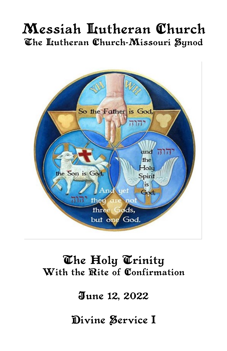# Messiah Lutheran Church The Itutheran Church-Missouri Synod



# The Holy Trinity With the Rite of Confirmation

June 12, 2022

Divine Service I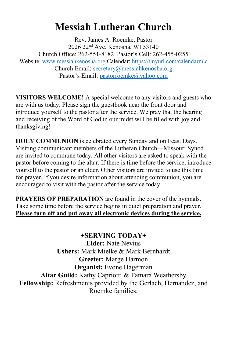# **Messiah Lutheran Church**

Rev. James A. Roemke, Pastor 2026 22nd Ave. Kenosha, WI 53140 Church Office: 262-551-8182 Pastor's Cell: 262-455-0255 Website: [www.messiahkenosha.org](http://www.messiahkenosha.org/) Calendar: <https://tinyurl.com/calendarmlc> Church Email: [secretary@messiahkenosha.org](https://d.docs.live.net/fdeed90a8019e9e6/Documents/2019%20PDF%20Bulletins/secretary@messiahkenosha.org) Pastor's Email: [pastorroemke@yahoo.com](mailto:pastorroemke@yahoo.com)

**VISITORS WELCOME!** A special welcome to any visitors and guests who are with us today. Please sign the guestbook near the front door and introduce yourself to the pastor after the service. We pray that the hearing and receiving of the Word of God in our midst will be filled with joy and thanksgiving!

**HOLY COMMUNION** is celebrated every Sunday and on Feast Days. Visiting communicant members of the Lutheran Church—Missouri Synod are invited to commune today. All other visitors are asked to speak with the pastor before coming to the altar. If there is time before the service, introduce yourself to the pastor or an elder. Other visitors are invited to use this time for prayer. If you desire information about attending communion, you are encouraged to visit with the pastor after the service today.

**PRAYERS OF PREPARATION** are found in the cover of the hymnals. Take some time before the service begins in quiet preparation and prayer. **Please turn off and put away all electronic devices during the service.**

**+SERVING TODAY+ Elder:** Nate Nevius **Ushers:** Mark Mielke & Mark Bernhardt **Greeter:** Marge Harmon **Organist:** Evone Hagerman **Altar Guild:** Kathy Capriotti & Tamara Weathersby **Fellowship:** Refreshments provided by the Gerlach, Hernandez, and Roemke families.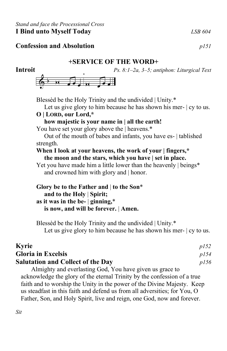## **Confession and Absolution** *p151*

## **+SERVICE OF THE WORD+**

**Introit** *Ps. 8:1–2a, 3–5; antiphon: Liturgical Text*

|  |    | н |
|--|----|---|
|  | Ś. |   |
|  |    |   |
|  |    |   |
|  |    |   |
|  |    |   |
|  |    |   |

Blessèd be the Holy Trinity and the undivided | Unity.\*

Let us give glory to him because he has shown his mer-  $|cy|$  to us.

#### **O | LORD, our Lord,\***

## **how majestic is your name in | all the earth!**

You have set your glory above the | heavens.\*

 Out of the mouth of babes and infants, you have es- | tablished strength.

#### **When I look at your heavens, the work of your | fingers,\* the moon and the stars, which you have | set in place.**

Yet you have made him a little lower than the heavenly | beings\* and crowned him with glory and | honor.

| Glory be to the Father and $\vert$ to the Son* |
|------------------------------------------------|
| and to the Holy   Spirit;                      |
| as it was in the be- $ $ ginning,*             |
| is now, and will be forever.   Amen.           |

Blessèd be the Holy Trinity and the undivided | Unity.\* Let us give glory to him because he has shown his mer-  $|cy|$  to us.

| <b>Kyrie</b>                                                              | p152 |
|---------------------------------------------------------------------------|------|
| <b>Gloria in Excelsis</b>                                                 | p154 |
| <b>Salutation and Collect of the Day</b>                                  | p156 |
| Almighty and everlasting God, You have given us grace to                  |      |
| acknowledge the glory of the eternal Trinity by the confession of a true  |      |
| faith and to worship the Unity in the power of the Divine Majesty. Keep   |      |
| us steadfast in this faith and defend us from all adversities; for You, O |      |
| Father, Son, and Holy Spirit, live and reign, one God, now and forever.   |      |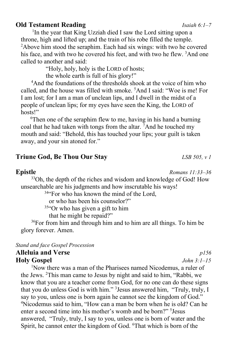#### **Old Testament Reading** *Isaiah 6:1–7*

<sup>1</sup>In the year that King Uzziah died I saw the Lord sitting upon a throne, high and lifted up; and the train of his robe filled the temple. <sup>2</sup>Above him stood the seraphim. Each had six wings: with two he covered his face, and with two he covered his feet, and with two he flew. <sup>3</sup>And one called to another and said:

 "Holy, holy, holy is the LORD of hosts; the whole earth is full of his glory!"

<sup>4</sup>And the foundations of the thresholds shook at the voice of him who called, and the house was filled with smoke. <sup>5</sup>And I said: "Woe is me! For I am lost; for I am a man of unclean lips, and I dwell in the midst of a people of unclean lips; for my eyes have seen the King, the LORD of hosts!"

 $6$ Then one of the seraphim flew to me, having in his hand a burning coal that he had taken with tongs from the altar.  $\bar{7}$ And he touched my mouth and said: "Behold, this has touched your lips; your guilt is taken away, and your sin atoned for."

## **Triune God, Be Thou Our Stay** *LSB 505, v 1*

**Epistle** *Romans 11:33–36*

<sup>33</sup>Oh, the depth of the riches and wisdom and knowledge of God! How unsearchable are his judgments and how inscrutable his ways!

<sup>34"</sup>For who has known the mind of the Lord,

or who has been his counselor?"

<sup>35</sup>"Or who has given a gift to him

that he might be repaid?"

<sup>36</sup>For from him and through him and to him are all things. To him be glory forever. Amen.

*Stand and face Gospel Procession*

### **Alleluia and Verse** *p156* **Holy Gospel** *John 3:1–15*

<sup>1</sup>Now there was a man of the Pharisees named Nicodemus, a ruler of the Jews. <sup>2</sup>This man came to Jesus by night and said to him, "Rabbi, we know that you are a teacher come from God, for no one can do these signs that you do unless God is with him." <sup>3</sup> Jesus answered him, "Truly, truly, I say to you, unless one is born again he cannot see the kingdom of God." <sup>4</sup>Nicodemus said to him, "How can a man be born when he is old? Can he enter a second time into his mother's womb and be born?" <sup>5</sup> Jesus answered, "Truly, truly, I say to you, unless one is born of water and the Spirit, he cannot enter the kingdom of God. <sup>6</sup>That which is born of the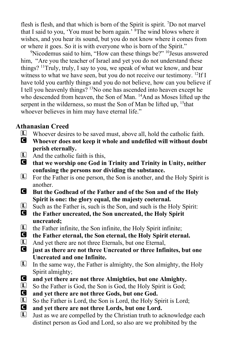flesh is flesh, and that which is born of the Spirit is spirit. <sup>7</sup>Do not marvel that I said to you, 'You must be born again.'  ${}^{8}$ The wind blows where it wishes, and you hear its sound, but you do not know where it comes from or where it goes. So it is with everyone who is born of the Spirit."

<sup>9</sup>Nicodemus said to him, "How can these things be?"  $^{10}$ Jesus answered him, "Are you the teacher of Israel and yet you do not understand these things?  $11$ Truly, truly, I say to you, we speak of what we know, and bear witness to what we have seen, but you do not receive our testimony. <sup>12</sup>If I have told you earthly things and you do not believe, how can you believe if I tell you heavenly things? <sup>13</sup>No one has ascended into heaven except he who descended from heaven, the Son of Man. <sup>14</sup>And as Moses lifted up the serpent in the wilderness, so must the Son of Man be lifted up,  $15$  that whoever believes in him may have eternal life."

## **Athanasian Creed**

- $\Box$  Whoever desires to be saved must, above all, hold the catholic faith.<br> **O** Whoever does not keen it whole and undefiled will without doub
- C **Whoever does not keep it whole and undefiled will without doubt perish eternally.**
- $\Box$  And the catholic faith is this,<br> **G** that we worship one God in
- C **that we worship one God in Trinity and Trinity in Unity, neither confusing the persons nor dividing the substance.**
- $\Box$  For the Father is one person, the Son is another, and the Holy Spirit is another.
- C **But the Godhead of the Father and of the Son and of the Holy Spirit is one: the glory equal, the majesty coeternal.**
- $\Box$  Such as the Father is, such is the Son, and such is the Holy Spirit:<br>  $\Box$  the Father uncreated, the Son uncreated, the Holy Spirit
- C **the Father uncreated, the Son uncreated, the Holy Spirit uncreated;**
- $\Box$  the Father infinite, the Son infinite, the Holy Spirit infinite;<br> **O** the Father eternal, the Son eternal, the Holy Spirit etern
- **C** the Father eternal, the Son eternal, the Holy Spirit eternal.<br> **C** And yet there are not three Eternals, but one Eternal.
- $\Box$  And yet there are not three Eternals, but one Eternal,<br>  $\Box$  iust as there are not three Uncreated or three Infinition
- iust as there are not three Uncreated or three Infinites, but one **Uncreated and one Infinite.**
- $\Box$  In the same way, the Father is almighty, the Son almighty, the Holy Spirit almighty;
- **C** and yet there are not three Almighties, but one Almighty.<br>
C So the Father is God. the Son is God. the Holy Spirit is God:
- $L$  So the Father is God, the Son is God, the Holy Spirit is God;<br> **a** and vet there are not three Gods, but one God.
- **C** and yet there are not three Gods, but one God.<br> **C** So the Father is Lord, the Son is Lord, the Holy St
- $\Box$  So the Father is Lord, the Son is Lord, the Holy Spirit is Lord;<br> **Q** and vet there are not three Lords, but one Lord.
- and yet there are not three Lords, but one Lord.
- $\Box$  Just as we are compelled by the Christian truth to acknowledge each distinct person as God and Lord, so also are we prohibited by the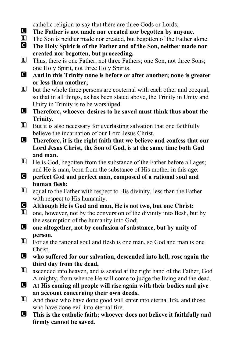catholic religion to say that there are three Gods or Lords.

- **C** The Father is not made nor created nor begotten by anyone.<br> **C** The Son is neither made nor created, but begotten of the Father a
- $\Box$  The Son is neither made nor created, but begotten of the Father alone.<br> **O** The Holy Spirit is of the Father and of the Son, neither made nor
- C **The Holy Spirit is of the Father and of the Son, neither made nor created nor begotten, but proceeding.**
- L Thus, there is one Father, not three Fathers; one Son, not three Sons; one Holy Spirit, not three Holy Spirits.
- C **And in this Trinity none is before or after another; none is greater or less than another;**
- $\Box$  but the whole three persons are coeternal with each other and coequal, so that in all things, as has been stated above, the Trinity in Unity and Unity in Trinity is to be worshiped.
- C **Therefore, whoever desires to be saved must think thus about the Trinity.**
- $\Box$  But it is also necessary for everlasting salvation that one faithfully believe the incarnation of our Lord Jesus Christ.
- C **Therefore, it is the right faith that we believe and confess that our Lord Jesus Christ, the Son of God, is at the same time both God and man.**
- $\Box$  He is God, begotten from the substance of the Father before all ages; and He is man, born from the substance of His mother in this age:
- C **perfect God and perfect man, composed of a rational soul and human flesh;**
- $\Box$  equal to the Father with respect to His divinity, less than the Father with respect to His humanity.
- **C** Although He is God and man, He is not two, but one Christ:<br> **C** one however not by the conversion of the divinity into flesh by
- one, however, not by the conversion of the divinity into flesh, but by the assumption of the humanity into God;
- C **one altogether, not by confusion of substance, but by unity of person.**
- $\Box$  For as the rational soul and flesh is one man, so God and man is one Christ,
- C **who suffered for our salvation, descended into hell, rose again the third day from the dead,**
- L ascended into heaven, and is seated at the right hand of the Father, God Almighty, from whence He will come to judge the living and the dead.
- C **At His coming all people will rise again with their bodies and give an account concerning their own deeds.**
- $\Box$  And those who have done good will enter into eternal life, and those who have done evil into eternal fire.
- C **This is the catholic faith; whoever does not believe it faithfully and firmly cannot be saved.**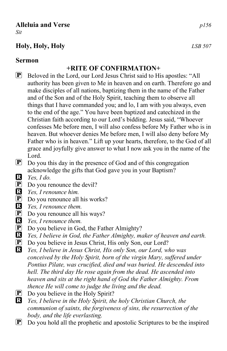## **Alleluia and Verse** *p156*

*Sit*

## **Holy, Holy, Holy** *LSB 507*

## **Sermon**

## **+RITE OF CONFIRMATION+**

- P Beloved in the Lord, our Lord Jesus Christ said to His apostles: "All authority has been given to Me in heaven and on earth. Therefore go and make disciples of all nations, baptizing them in the name of the Father and of the Son and of the Holy Spirit, teaching them to observe all things that I have commanded you; and lo, I am with you always, even to the end of the age." You have been baptized and catechized in the Christian faith according to our Lord's bidding. Jesus said, "Whoever confesses Me before men, I will also confess before My Father who is in heaven. But whoever denies Me before men, I will also deny before My Father who is in heaven." Lift up your hearts, therefore, to the God of all grace and joyfully give answer to what I now ask you in the name of the Lord.
- P Do you this day in the presence of God and of this congregation acknowledge the gifts that God gave you in your Baptism?
- R *Yes, I do.*
- $\mathbf{P}$  Do you renounce the devil?<br> $\mathbf{B}$  *Yes, I renounce him.*
- 
- **R** *Yes, I renounce him.*<br>**P** Do you renounce all<br>**R** *Yes, I renounce them* Do you renounce all his works?
- **R** *Yes, I renounce them.*<br>**P** Do you renounce all *P*
- $\mathbf{P}$  Do you renounce all his ways?<br> $\mathbf{R}$  Yes, I renounce them.
- **R** *Yes, I renounce them.*<br>**P** Do you believe in Go.
- $\overline{P}$  Do you believe in God, the Father Almighty?<br> $\overline{R}$  Yes, I believe in God, the Father Almighty, mo
- **R** *Yes, I believe in God, the Father Almighty, maker of heaven and earth.*<br> **P** Do you believe in Jesus Christ, His only Son, our Lord?
- $\overline{P}$  Do you believe in Jesus Christ, His only Son, our Lord?<br> $\overline{R}$  Yes. *I believe in Jesus Christ. His only Son, our Lord, with*
- R *Yes, I believe in Jesus Christ, His only Son, our Lord, who was conceived by the Holy Spirit, born of the virgin Mary, suffered under Pontius Pilate, was crucified, died and was buried. He descended into hell. The third day He rose again from the dead. He ascended into heaven and sits at the right hand of God the Father Almighty. From thence He will come to judge the living and the dead.*
- $\overline{P}$  Do you believe in the Holy Spirit?<br> $\overline{R}$  *Yes. I believe in the Holy Spirit, the*
- R *Yes, I believe in the Holy Spirit, the holy Christian Church, the communion of saints, the forgiveness of sins, the resurrection of the body, and the life everlasting.*
- $\mathbf{P}$  Do you hold all the prophetic and apostolic Scriptures to be the inspired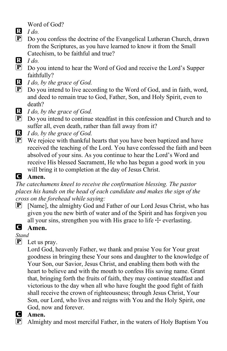Word of God?

- R *I do.*
- $\mathbf{P}$  Do you confess the doctrine of the Evangelical Lutheran Church, drawn from the Scriptures, as you have learned to know it from the Small Catechism, to be faithful and true?
- R *I do.*
- P Do you intend to hear the Word of God and receive the Lord's Supper faithfully?
- R *I do, by the grace of God.*
- $\boxed{\mathbf{P}}$  Do you intend to live according to the Word of God, and in faith, word, and deed to remain true to God, Father, Son, and Holy Spirit, even to death?
- R *I do, by the grace of God.*
- P Do you intend to continue steadfast in this confession and Church and to suffer all, even death, rather than fall away from it?
- R *I do, by the grace of God.*
- $\mathbf{P}$  We rejoice with thankful hearts that you have been baptized and have received the teaching of the Lord. You have confessed the faith and been absolved of your sins. As you continue to hear the Lord's Word and receive His blessed Sacrament, He who has begun a good work in you will bring it to completion at the day of Jesus Christ.

## C **Amen.**

*The catechumens kneel to receive the confirmation blessing. The pastor places his hands on the head of each candidate and makes the sign of the cross on the forehead while saying:*

**P** [Name], the almighty God and Father of our Lord Jesus Christ, who has given you the new birth of water and of the Spirit and has forgiven you all your sins, strengthen you with His grace to life  $+$  everlasting.

## C **Amen.**

*Stand*

 $\left[ \mathbf{P} \right]$  Let us pray.

Lord God, heavenly Father, we thank and praise You for Your great goodness in bringing these Your sons and daughter to the knowledge of Your Son, our Savior, Jesus Christ, and enabling them both with the heart to believe and with the mouth to confess His saving name. Grant that, bringing forth the fruits of faith, they may continue steadfast and victorious to the day when all who have fought the good fight of faith shall receive the crown of righteousness; through Jesus Christ, Your Son, our Lord, who lives and reigns with You and the Holy Spirit, one God, now and forever.

## C **Amen.**

**P** Almighty and most merciful Father, in the waters of Holy Baptism You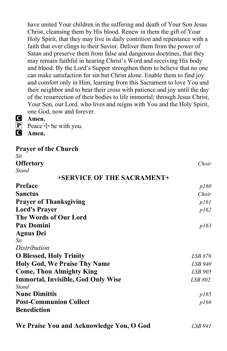have united Your children in the suffering and death of Your Son Jesus Christ, cleansing them by His blood. Renew in them the gift of Your Holy Spirit, that they may live in daily contrition and repentance with a faith that ever clings to their Savior. Deliver them from the power of Satan and preserve them from false and dangerous doctrines, that they may remain faithful in hearing Christ's Word and receiving His body and blood. By the Lord's Supper strengthen them to believe that no one can make satisfaction for sin but Christ alone. Enable them to find joy and comfort only in Him, learning from this Sacrament to love You and their neighbor and to bear their cross with patience and joy until the day of the resurrection of their bodies to life immortal; through Jesus Christ, Your Son, our Lord, who lives and reigns with You and the Holy Spirit, one God, now and forever.

## C **Amen.**

- $\boxed{\mathbf{P}}$  Peace  $+$  be with you.
- C **Amen.**
- **Prayer of the Church**

| Sit                                       |         |
|-------------------------------------------|---------|
| <b>Offertory</b>                          | Choir   |
| <b>Stand</b>                              |         |
| +SERVICE OF THE SACRAMENT+                |         |
| Preface                                   | p160    |
| <b>Sanctus</b>                            | Choir   |
| <b>Prayer of Thanksgiving</b>             | p161    |
| <b>Lord's Prayer</b>                      | p162    |
| <b>The Words of Our Lord</b>              |         |
| <b>Pax Domini</b>                         | p163    |
| <b>Agnus Dei</b>                          |         |
| <b>Sit</b>                                |         |
| Distribution                              |         |
| <b>O Blessed, Holy Trinity</b>            | LSB 876 |
| <b>Holy God, We Praise Thy Name</b>       | LSB 940 |
| <b>Come, Thou Almighty King</b>           | LSB 905 |
| <b>Immortal, Invisible, God Only Wise</b> | LSB 802 |
| Stand                                     |         |
| <b>Nunc Dimittis</b>                      | p165    |
| <b>Post-Communion Collect</b>             | p166    |
| <b>Benediction</b>                        |         |
|                                           |         |

**We Praise You and Acknowledge You, O God** *LSB 941*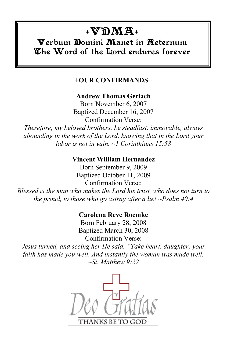# $\mathbf{W} \mathbf{D} \mathbf{M} \mathbf{A}$

Verbum Domini Manet in Acternum The Word of the liord endures forever

## **+OUR CONFIRMANDS+**

## **Andrew Thomas Gerlach**

Born November 6, 2007 Baptized December 16, 2007 Confirmation Verse:

*Therefore, my beloved brothers, be steadfast, immovable, always abounding in the work of the Lord, knowing that in the Lord your labor is not in vain. ~1 Corinthians 15:58*

## **Vincent William Hernandez**

Born September 9, 2009 Baptized October 11, 2009 Confirmation Verse:

*Blessed is the man who makes the Lord his trust, who does not turn to the proud, to those who go astray after a lie! ~Psalm 40:4*

## **Carolena Reve Roemke**

Born February 28, 2008 Baptized March 30, 2008 Confirmation Verse:

*Jesus turned, and seeing her He said, "Take heart, daughter; your faith has made you well. And instantly the woman was made well. ~St. Matthew 9:22*

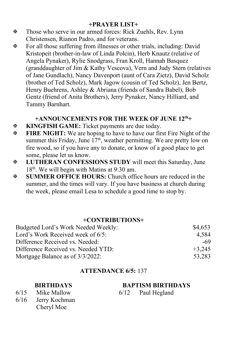#### **+PRAYER LIST+**

- Those who serve in our armed forces: Rick Zuehls, Rev. Lynn Christensen, Rianon Padro, and for veterans.
- For all those suffering from illnesses or other trials, including: David Kristopeit (brother-in-law of Linda Polcin), Herb Knautz (relative of Angela Pynaker), Rylie Snodgrass, Fran Kroll, Hannah Basquez (granddaughter of Jim & Kathy Vescova), Vern and Judy Stern (relatives of Jane Gundlach), Nancy Davenport (aunt of Cara Zietz), David Scholz (brother of Ted Scholz), Mark Jagow (cousin of Ted Scholz), Jen Bertz, Henry Buehrens, Ashley & Abriana (friends of Sandra Babel), Bob Gentz (friend of Anita Brothers), Jerry Pynaker, Nancy Hilliard, and Tammy Barnhart.

## **+ANNOUNCEMENTS FOR THE WEEK OF JUNE 12th+**

- **KINGFISH GAME:** Ticket payments are due today.
- **FIRE NIGHT:** We are hoping to have to have our first Fire Night of the summer this Friday, June  $17<sup>th</sup>$ , weather permitting. We are pretty low on fire wood, so if you have any to donate, or know of a good place to get some, please let us know.
- **LUTHERAN CONFESSIONS STUDY** will meet this Saturday, June 18<sup>th</sup>. We will begin with Matins at 9:30 am.
- **SUMMER OFFICE HOURS:** Church office hours are reduced in the summer, and the times will vary. If you have business at church during the week, please email Lesa to schedule a good time to stop by.

## **+CONTRIBUTIONS+**

| Budgeted Lord's Work Needed Weekly: | \$4,653  |
|-------------------------------------|----------|
| Lord's Work Received week of 6/5:   | 4.584    |
| Difference Received vs. Needed:     | -69      |
| Difference Received vs. Needed YTD: | $+3.245$ |
| Mortgage Balance as of 3/3/2022:    | 53.283   |

## **ATTENDANCE 6/5:** 137

 **BIRTHDAYS BAPTISM BIRTHDAYS**

6/15 Mike Mallow 6/12 Paul Hegland

6/16 Jerry Kochman Cheryl Moe